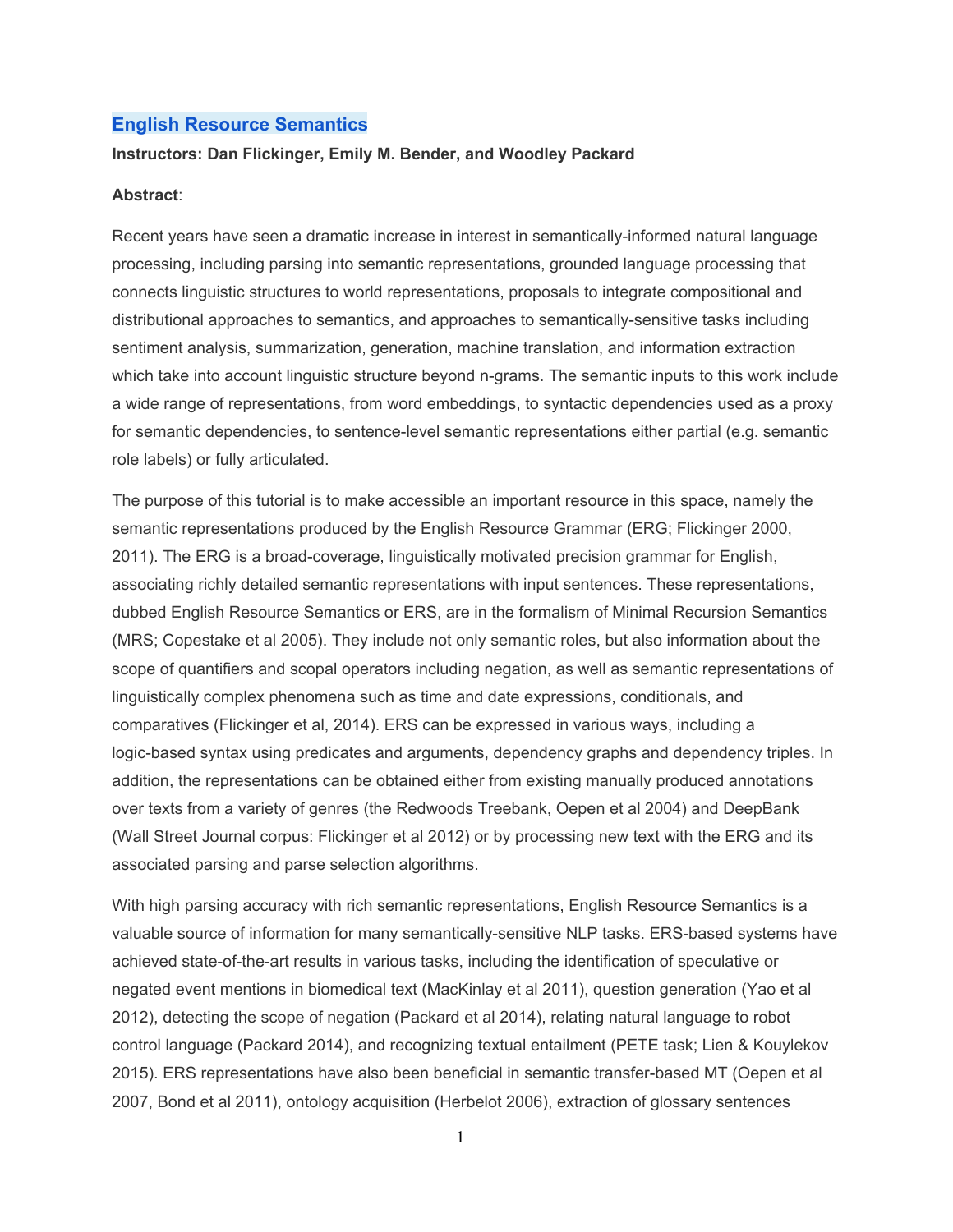## **English Resource Semantics**

### **Instructors: Dan Flickinger, Emily M. Bender, and Woodley Packard**

#### **Abstract**:

Recent years have seen a dramatic increase in interest in semantically-informed natural language processing, including parsing into semantic representations, grounded language processing that connects linguistic structures to world representations, proposals to integrate compositional and distributional approaches to semantics, and approaches to semantically-sensitive tasks including sentiment analysis, summarization, generation, machine translation, and information extraction which take into account linguistic structure beyond n-grams. The semantic inputs to this work include a wide range of representations, from word embeddings, to syntactic dependencies used as a proxy for semantic dependencies, to sentence-level semantic representations either partial (e.g. semantic role labels) or fully articulated.

The purpose of this tutorial is to make accessible an important resource in this space, namely the semantic representations produced by the English Resource Grammar (ERG; Flickinger 2000, 2011). The ERG is a broad-coverage, linguistically motivated precision grammar for English, associating richly detailed semantic representations with input sentences. These representations, dubbed English Resource Semantics or ERS, are in the formalism of Minimal Recursion Semantics (MRS; Copestake et al 2005). They include not only semantic roles, but also information about the scope of quantifiers and scopal operators including negation, as well as semantic representations of linguistically complex phenomena such as time and date expressions, conditionals, and comparatives (Flickinger et al, 2014). ERS can be expressed in various ways, including a logic-based syntax using predicates and arguments, dependency graphs and dependency triples. In addition, the representations can be obtained either from existing manually produced annotations over texts from a variety of genres (the Redwoods Treebank, Oepen et al 2004) and DeepBank (Wall Street Journal corpus: Flickinger et al 2012) or by processing new text with the ERG and its associated parsing and parse selection algorithms.

With high parsing accuracy with rich semantic representations, English Resource Semantics is a valuable source of information for many semantically-sensitive NLP tasks. ERS-based systems have achieved state-of-the-art results in various tasks, including the identification of speculative or negated event mentions in biomedical text (MacKinlay et al 2011), question generation (Yao et al 2012), detecting the scope of negation (Packard et al 2014), relating natural language to robot control language (Packard 2014), and recognizing textual entailment (PETE task; Lien & Kouylekov 2015). ERS representations have also been beneficial in semantic transfer-based MT (Oepen et al 2007, Bond et al 2011), ontology acquisition (Herbelot 2006), extraction of glossary sentences

1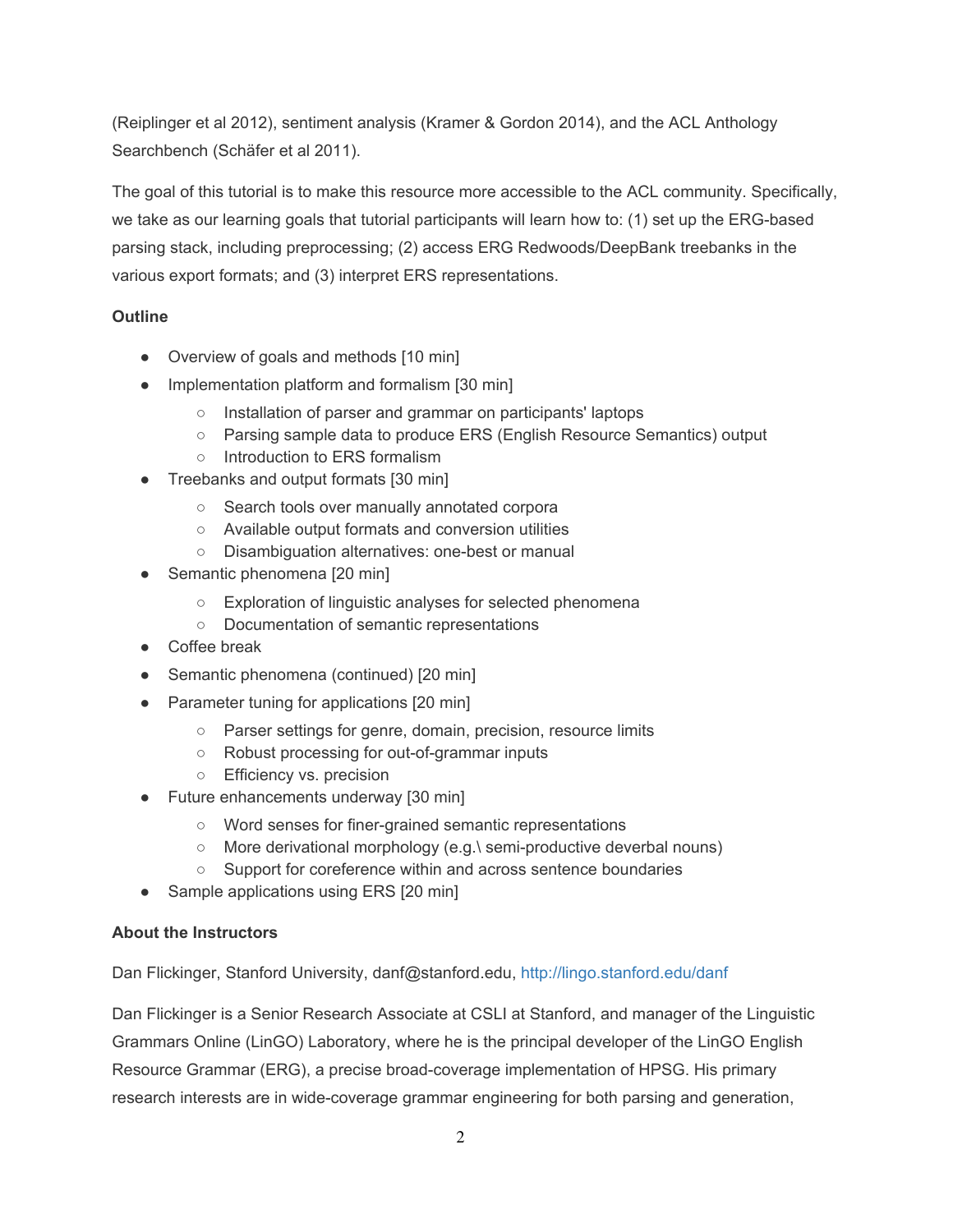(Reiplinger et al 2012), sentiment analysis (Kramer & Gordon 2014), and the ACL Anthology Searchbench (Schäfer et al 2011).

The goal of this tutorial is to make this resource more accessible to the ACL community. Specifically, we take as our learning goals that tutorial participants will learn how to: (1) set up the ERG-based parsing stack, including preprocessing; (2) access ERG Redwoods/DeepBank treebanks in the various export formats; and (3) interpret ERS representations.

# **Outline**

- Overview of goals and methods [10 min]
- Implementation platform and formalism [30 min]
	- Installation of parser and grammar on participants' laptops
	- Parsing sample data to produce ERS (English Resource Semantics) output
	- Introduction to ERS formalism
- Treebanks and output formats [30 min]
	- Search tools over manually annotated corpora
	- Available output formats and conversion utilities
	- Disambiguation alternatives: one-best or manual
- Semantic phenomena [20 min]
	- Exploration of linguistic analyses for selected phenomena
	- Documentation of semantic representations
- Coffee break
- Semantic phenomena (continued) [20 min]
- Parameter tuning for applications [20 min]
	- Parser settings for genre, domain, precision, resource limits
	- Robust processing for out-of-grammar inputs
	- Efficiency vs. precision
- Future enhancements underway [30 min]
	- Word senses for finer-grained semantic representations
	- More derivational morphology (e.g.\ semi-productive deverbal nouns)
	- Support for coreference within and across sentence boundaries
- Sample applications using ERS [20 min]

## **About the Instructors**

Dan Flickinger, Stanford University, danf@stanford.edu, http://lingo.stanford.edu/danf

Dan Flickinger is a Senior Research Associate at CSLI at Stanford, and manager of the Linguistic Grammars Online (LinGO) Laboratory, where he is the principal developer of the LinGO English Resource Grammar (ERG), a precise broad-coverage implementation of HPSG. His primary research interests are in wide-coverage grammar engineering for both parsing and generation,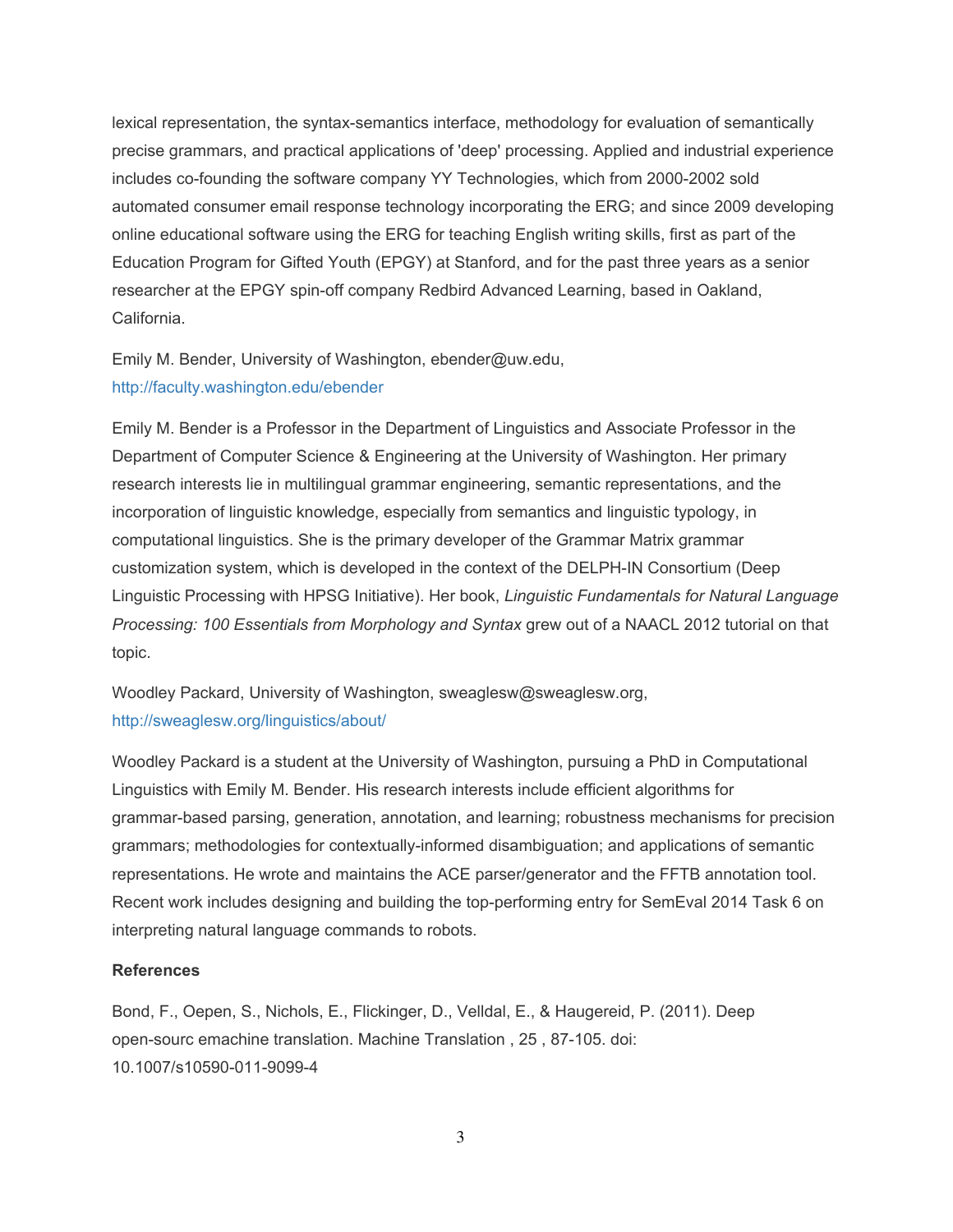lexical representation, the syntax-semantics interface, methodology for evaluation of semantically precise grammars, and practical applications of 'deep' processing. Applied and industrial experience includes co-founding the software company YY Technologies, which from 2000-2002 sold automated consumer email response technology incorporating the ERG; and since 2009 developing online educational software using the ERG for teaching English writing skills, first as part of the Education Program for Gifted Youth (EPGY) at Stanford, and for the past three years as a senior researcher at the EPGY spin-off company Redbird Advanced Learning, based in Oakland, California.

Emily M. Bender, University of Washington, ebender@uw.edu, http://faculty.washington.edu/ebender

Emily M. Bender is a Professor in the Department of Linguistics and Associate Professor in the Department of Computer Science & Engineering at the University of Washington. Her primary research interests lie in multilingual grammar engineering, semantic representations, and the incorporation of linguistic knowledge, especially from semantics and linguistic typology, in computational linguistics. She is the primary developer of the Grammar Matrix grammar customization system, which is developed in the context of the DELPH-IN Consortium (Deep Linguistic Processing with HPSG Initiative). Her book, *Linguistic Fundamentals for Natural Language Processing: 100 Essentials from Morphology and Syntax* grew out of a NAACL 2012 tutorial on that topic.

Woodley Packard, University of Washington, sweaglesw@sweaglesw.org, http://sweaglesw.org/linguistics/about/

Woodley Packard is a student at the University of Washington, pursuing a PhD in Computational Linguistics with Emily M. Bender. His research interests include efficient algorithms for grammar-based parsing, generation, annotation, and learning; robustness mechanisms for precision grammars; methodologies for contextually-informed disambiguation; and applications of semantic representations. He wrote and maintains the ACE parser/generator and the FFTB annotation tool. Recent work includes designing and building the top-performing entry for SemEval 2014 Task 6 on interpreting natural language commands to robots.

## **References**

Bond, F., Oepen, S., Nichols, E., Flickinger, D., Velldal, E., & Haugereid, P. (2011). Deep open-sourc emachine translation. Machine Translation, 25, 87-105. doi: 10.1007/s10590-011-9099-4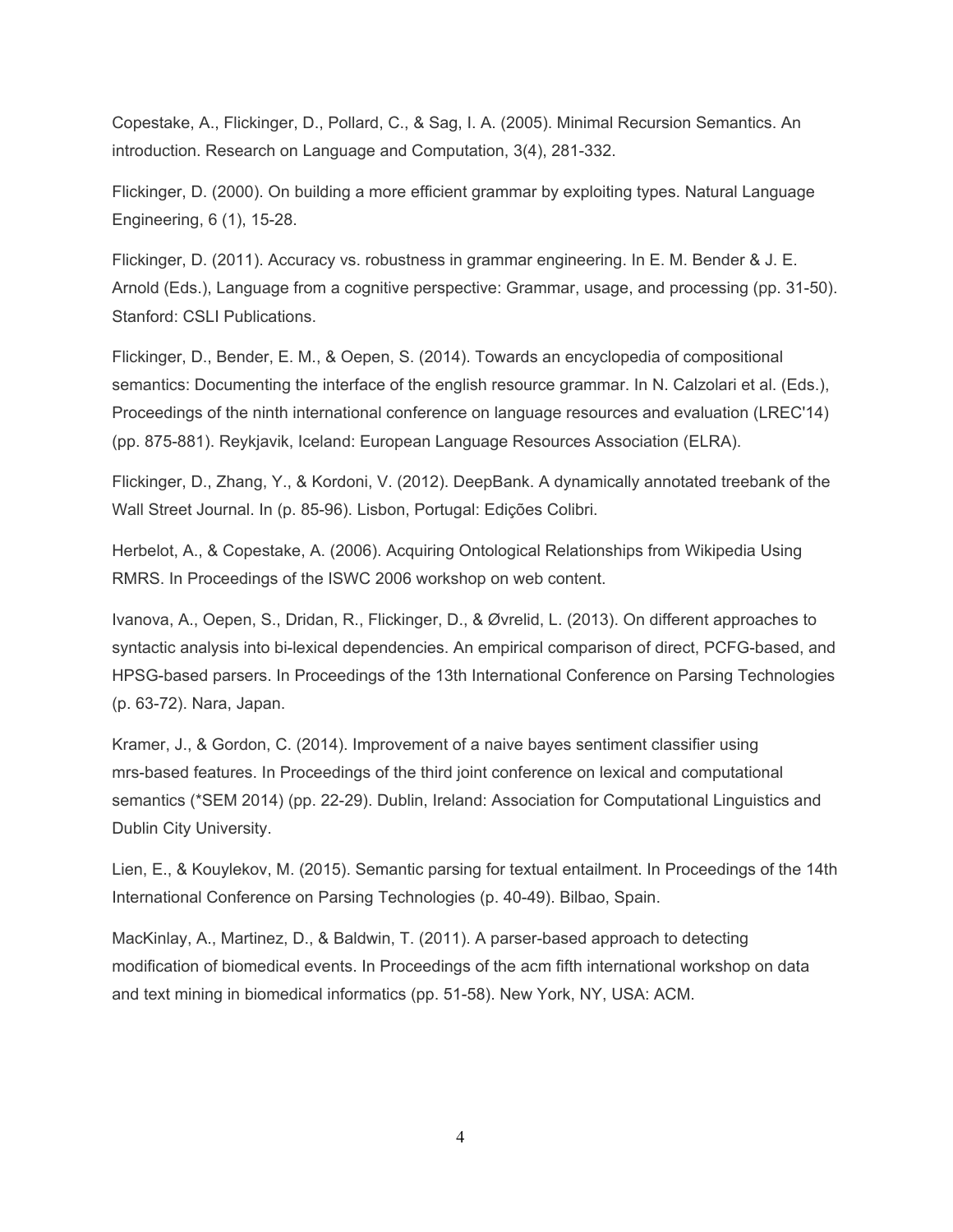Copestake, A., Flickinger, D., Pollard, C., & Sag, I. A. (2005). Minimal Recursion Semantics. An introduction. Research on Language and Computation, 3(4), 281-332.

Flickinger, D. (2000). On building a more efficient grammar by exploiting types. Natural Language Engineering, 6 (1), 15-28.

Flickinger, D. (2011). Accuracy vs. robustness in grammar engineering. In E. M. Bender & J. E. Arnold (Eds.), Language from a cognitive perspective: Grammar, usage, and processing (pp. 31-50). Stanford: CSLI Publications.

Flickinger, D., Bender, E. M., & Oepen, S. (2014). Towards an encyclopedia of compositional semantics: Documenting the interface of the english resource grammar. In N. Calzolari et al. (Eds.), Proceedings of the ninth international conference on language resources and evaluation (LREC'14) (pp. 875-881). Reykjavik, Iceland: European Language Resources Association (ELRA).

Flickinger, D., Zhang, Y., & Kordoni, V. (2012). DeepBank. A dynamically annotated treebank of the Wall Street Journal. In (p. 85-96). Lisbon, Portugal: Edições Colibri.

Herbelot, A., & Copestake, A. (2006). Acquiring Ontological Relationships from Wikipedia Using RMRS. In Proceedings of the ISWC 2006 workshop on web content.

Ivanova, A., Oepen, S., Dridan, R., Flickinger, D., & Øvrelid, L. (2013). On different approaches to syntactic analysis into bi-lexical dependencies. An empirical comparison of direct, PCFG-based, and HPSG-based parsers. In Proceedings of the 13th International Conference on Parsing Technologies (p. 6372). Nara, Japan.

Kramer, J., & Gordon, C. (2014). Improvement of a naive bayes sentiment classifier using mrsbased features. In Proceedings of the third joint conference on lexical and computational semantics (\*SEM 2014) (pp. 22-29). Dublin, Ireland: Association for Computational Linguistics and Dublin City University.

Lien, E., & Kouylekov, M. (2015). Semantic parsing for textual entailment. In Proceedings of the 14th International Conference on Parsing Technologies (p. 40-49). Bilbao, Spain.

MacKinlay, A., Martinez, D., & Baldwin, T. (2011). A parser-based approach to detecting modification of biomedical events. In Proceedings of the acm fifth international workshop on data and text mining in biomedical informatics (pp. 51-58). New York, NY, USA: ACM.